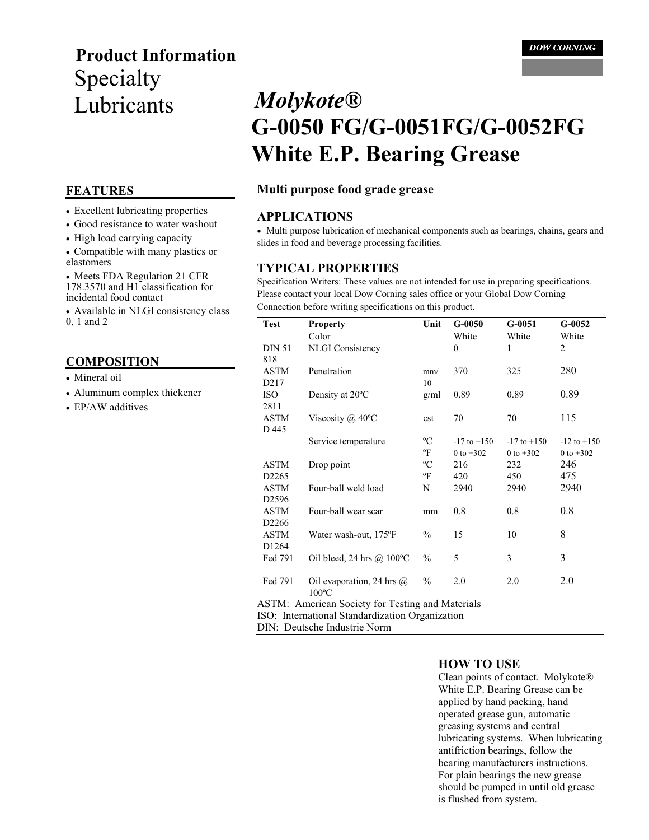## **Product Information**  Specialty Lubricants *Molykote®*

- Excellent lubricating properties
- Good resistance to water washout
- High load carrying capacity

• Compatible with many plastics or elastomers

• Meets FDA Regulation 21 CFR 178.3570 and H1 classification for incidental food contact

• Available in NLGI consistency class 0, 1 and 2

#### **COMPOSITION**

- Mineral oil
- Aluminum complex thickener
- EP/AW additives

# **G-0050 FG/G-0051FG/G-0052FG White E.P. Bearing Grease**

#### **FEATURES Multi purpose food grade grease**

#### **APPLICATIONS**

• Multi purpose lubrication of mechanical components such as bearings, chains, gears and slides in food and beverage processing facilities.

#### **TYPICAL PROPERTIES**

Specification Writers: These values are not intended for use in preparing specifications. Please contact your local Dow Corning sales office or your Global Dow Corning Connection before writing specifications on this product.

| <b>Test</b>                                             | <b>Property</b>                  | Unit          | $G-0050$        | $G-0051$        | $G-0052$        |
|---------------------------------------------------------|----------------------------------|---------------|-----------------|-----------------|-----------------|
|                                                         | Color                            |               | White           | White           | White           |
| <b>DIN 51</b>                                           | <b>NLGI</b> Consistency          |               | $\mathbf{0}$    | 1               | 2               |
| 818                                                     |                                  |               |                 |                 |                 |
| ASTM                                                    | Penetration                      | mm/           | 370             | 325             | 280             |
| D <sub>2</sub> 17                                       |                                  | 10            |                 |                 |                 |
| <b>ISO</b>                                              | Density at 20°C                  | g/ml          | 0.89            | 0.89            | 0.89            |
| 2811                                                    |                                  |               |                 |                 |                 |
| ASTM                                                    | Viscosity @ $40^{\circ}$ C       | cst           | 70              | 70              | 115             |
| D 445                                                   |                                  |               |                 |                 |                 |
|                                                         | Service temperature              | $\rm ^{o}C$   | $-17$ to $+150$ | $-17$ to $+150$ | $-12$ to $+150$ |
|                                                         |                                  | °F            | 0 to $+302$     | 0 to $+302$     | 0 to $+302$     |
| ASTM                                                    | Drop point                       | $\rm ^{o}C$   | 216             | 232             | 246             |
| D <sub>2265</sub>                                       |                                  | $\mathrm{P}$  | 420             | 450             | 475             |
| ASTM                                                    | Four-ball weld load              | N             | 2940            | 2940            | 2940            |
| D <sub>2596</sub>                                       |                                  |               |                 |                 |                 |
| ASTM                                                    | Four-ball wear scar              | mm            | 0.8             | 0.8             | 0.8             |
| D <sub>2266</sub>                                       |                                  |               |                 |                 |                 |
| ASTM                                                    | Water wash-out, 175°F            | $\%$          | 15              | 10              | 8               |
| D <sub>1264</sub>                                       |                                  |               |                 |                 |                 |
| Fed 791                                                 | Oil bleed, 24 hrs @ 100°C        | $\frac{0}{0}$ | 5               | 3               | 3               |
|                                                         |                                  |               |                 |                 |                 |
| Fed 791                                                 | Oil evaporation, 24 hrs $\omega$ | $\frac{0}{0}$ | 2.0             | 2.0             | 2.0             |
|                                                         | $100^{\circ}$ C                  |               |                 |                 |                 |
| <b>ASTM:</b> American Society for Testing and Materials |                                  |               |                 |                 |                 |
| ISO: International Standardization Organization         |                                  |               |                 |                 |                 |

DIN: Deutsche Industrie Norm

#### **HOW TO USE**

Clean points of contact. Molykote® White E.P. Bearing Grease can be applied by hand packing, hand operated grease gun, automatic greasing systems and central lubricating systems. When lubricating antifriction bearings, follow the bearing manufacturers instructions. For plain bearings the new grease should be pumped in until old grease is flushed from system.